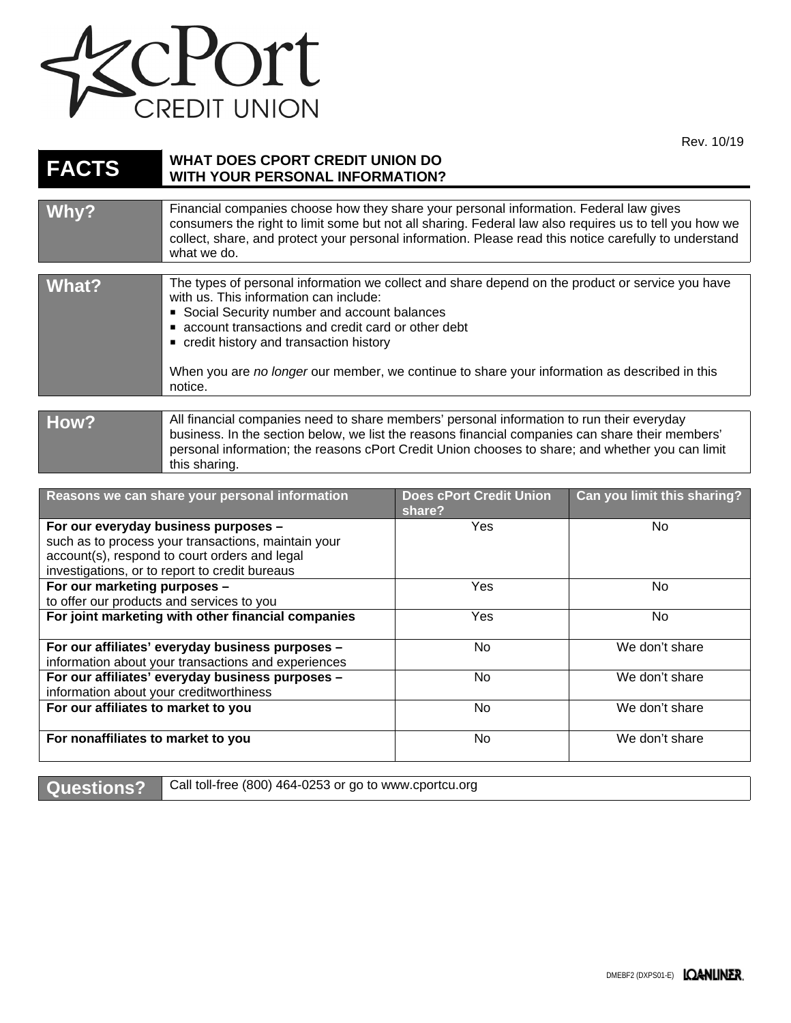

Rev. 10/19

| <b>FACTS</b>                      | <b>WHAT DOES CPORT CREDIT UNION DO</b><br><b>WITH YOUR PERSONAL INFORMATION?</b>                                                                                                                                                                                                                                                                                                                      |                                          |                             |  |
|-----------------------------------|-------------------------------------------------------------------------------------------------------------------------------------------------------------------------------------------------------------------------------------------------------------------------------------------------------------------------------------------------------------------------------------------------------|------------------------------------------|-----------------------------|--|
|                                   | Financial companies choose how they share your personal information. Federal law gives                                                                                                                                                                                                                                                                                                                |                                          |                             |  |
| Why?                              | consumers the right to limit some but not all sharing. Federal law also requires us to tell you how we<br>collect, share, and protect your personal information. Please read this notice carefully to understand<br>what we do.                                                                                                                                                                       |                                          |                             |  |
| <b>What?</b>                      | The types of personal information we collect and share depend on the product or service you have<br>with us. This information can include:<br>Social Security number and account balances<br>account transactions and credit card or other debt<br>credit history and transaction history<br>When you are no longer our member, we continue to share your information as described in this<br>notice. |                                          |                             |  |
|                                   |                                                                                                                                                                                                                                                                                                                                                                                                       |                                          |                             |  |
| How?                              | All financial companies need to share members' personal information to run their everyday<br>business. In the section below, we list the reasons financial companies can share their members'<br>personal information; the reasons cPort Credit Union chooses to share; and whether you can limit<br>this sharing.                                                                                    |                                          |                             |  |
|                                   |                                                                                                                                                                                                                                                                                                                                                                                                       |                                          |                             |  |
|                                   | Reasons we can share your personal information                                                                                                                                                                                                                                                                                                                                                        | <b>Does cPort Credit Union</b><br>share? | Can you limit this sharing? |  |
| Fer ein eizemider kustnese munnee |                                                                                                                                                                                                                                                                                                                                                                                                       | $\mathcal{L}_{\mathbf{a}}$               | $N_{\rm A}$                 |  |

|                                                     | share? |                |
|-----------------------------------------------------|--------|----------------|
| For our everyday business purposes -                | Yes    | No.            |
| such as to process your transactions, maintain your |        |                |
| account(s), respond to court orders and legal       |        |                |
| investigations, or to report to credit bureaus      |        |                |
| For our marketing purposes -                        | Yes    | No.            |
| to offer our products and services to you           |        |                |
| For joint marketing with other financial companies  | Yes    | No.            |
|                                                     |        |                |
| For our affiliates' everyday business purposes -    | No.    | We don't share |
| information about your transactions and experiences |        |                |
| For our affiliates' everyday business purposes -    | No.    | We don't share |
| information about your creditworthiness             |        |                |
| For our affiliates to market to you                 | No.    | We don't share |
|                                                     |        |                |
| For nonaffiliates to market to you                  | No.    | We don't share |
|                                                     |        |                |

Questions? Call toll-free (800) 464-0253 or go to www.cportcu.org